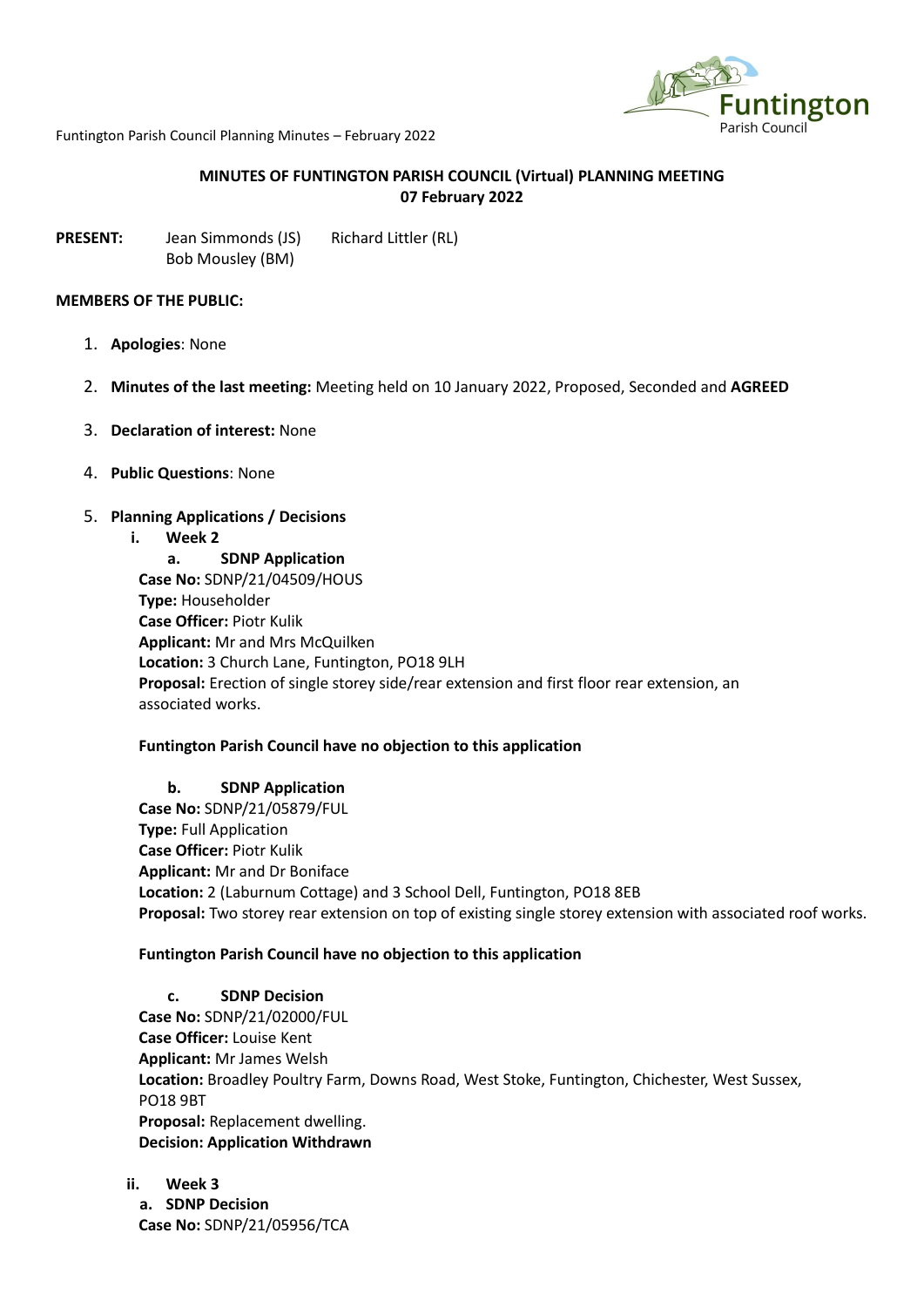

Funtington Parish Council Planning Minutes – February 2022

### **MINUTES OF FUNTINGTON PARISH COUNCIL (Virtual) PLANNING MEETING 07 February 2022**

**PRESENT:** Jean Simmonds (JS) Richard Littler (RL) Bob Mousley (BM)

#### **MEMBERS OF THE PUBLIC:**

- 1. **Apologies**: None
- 2. **Minutes of the last meeting:** Meeting held on 10 January 2022, Proposed, Seconded and **AGREED**
- 3. **Declaration of interest:** None
- 4. **Public Questions**: None
- 5. **Planning Applications / Decisions**
	- **i. Week 2**

**a. SDNP Application Case No:** SDNP/21/04509/HOUS **Type:** Householder **Case Officer:** Piotr Kulik **Applicant:** Mr and Mrs McQuilken **Location:** 3 Church Lane, Funtington, PO18 9LH **Proposal:** Erection of single storey side/rear extension and first floor rear extension, an associated works.

### **Funtington Parish Council have no objection to this application**

**b. SDNP Application Case No:** SDNP/21/05879/FUL **Type:** Full Application **Case Officer:** Piotr Kulik **Applicant:** Mr and Dr Boniface **Location:** 2 (Laburnum Cottage) and 3 School Dell, Funtington, PO18 8EB **Proposal:** Two storey rear extension on top of existing single storey extension with associated roof works.

#### **Funtington Parish Council have no objection to this application**

### **c. SDNP Decision**

**Case No:** SDNP/21/02000/FUL **Case Officer:** Louise Kent **Applicant:** Mr James Welsh **Location:** Broadley Poultry Farm, Downs Road, West Stoke, Funtington, Chichester, West Sussex, PO18 9BT **Proposal:** Replacement dwelling. **Decision: Application Withdrawn**

**ii. Week 3 a. SDNP Decision Case No:** SDNP/21/05956/TCA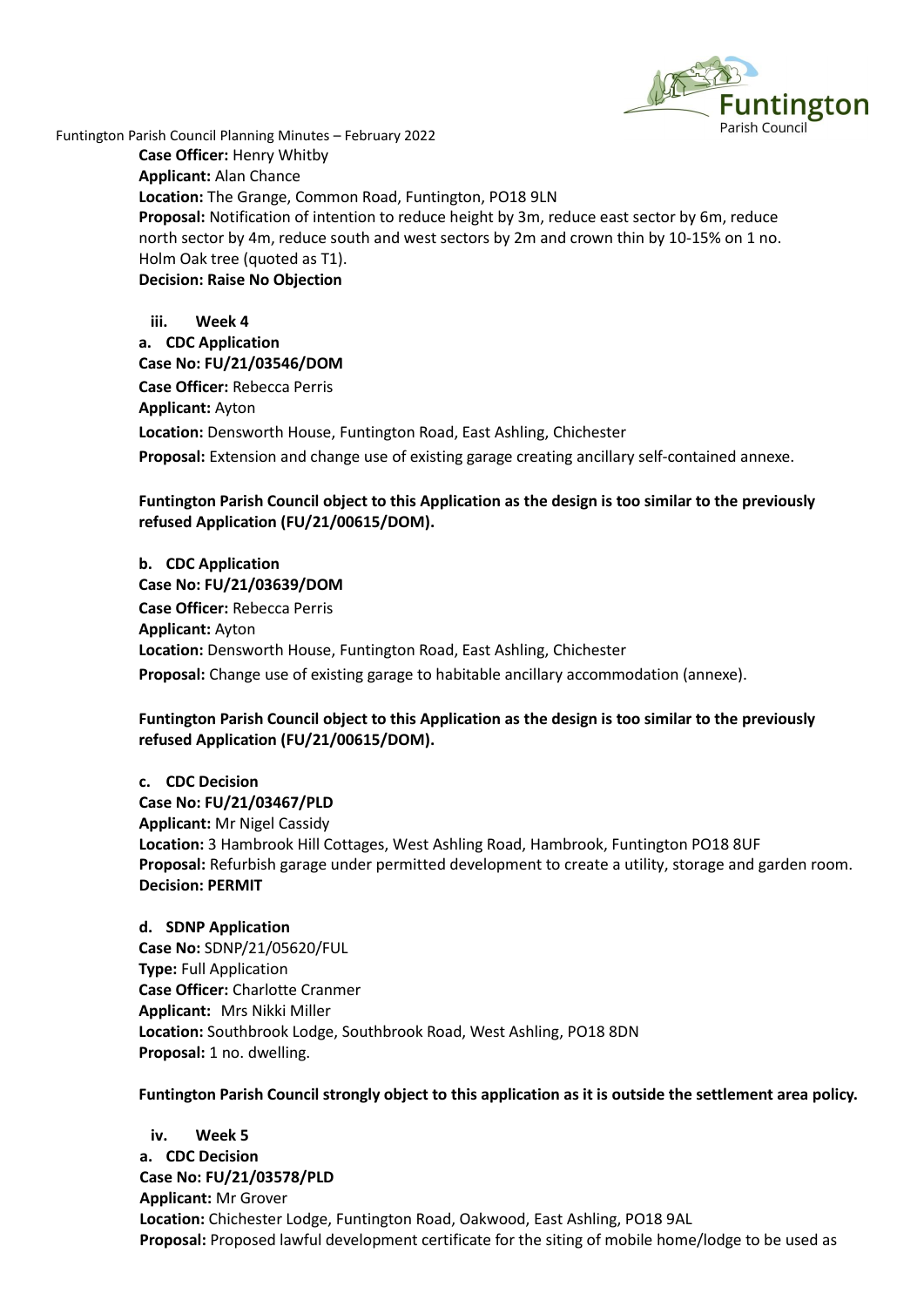

Funtington Parish Council Planning Minutes – February 2022 **Case Officer:** Henry Whitby **Applicant:** Alan Chance **Location:** The Grange, Common Road, Funtington, PO18 9LN **Proposal:** Notification of intention to reduce height by 3m, reduce east sector by 6m, reduce north sector by 4m, reduce south and west sectors by 2m and crown thin by 10-15% on 1 no. Holm Oak tree (quoted as T1). **Decision: Raise No Objection**

> **iii. Week 4 a. CDC Application Case No: FU/21/03546/DOM Case Officer:** Rebecca Perris **Applicant:** Ayton **Location:** Densworth House, Funtington Road, East Ashling, Chichester **Proposal:** Extension and change use of existing garage creating ancillary self-contained annexe.

# **Funtington Parish Council object to this Application as the design is too similar to the previously refused Application (FU/21/00615/DOM).**

**b. CDC Application Case No: FU/21/03639/DOM Case Officer:** Rebecca Perris **Applicant:** Ayton **Location:** Densworth House, Funtington Road, East Ashling, Chichester **Proposal:** Change use of existing garage to habitable ancillary accommodation (annexe).

# **Funtington Parish Council object to this Application as the design is too similar to the previously refused Application (FU/21/00615/DOM).**

**c. CDC Decision Case No: FU/21/03467/PLD Applicant:** Mr Nigel Cassidy **Location:** 3 Hambrook Hill Cottages, West Ashling Road, Hambrook, Funtington PO18 8UF **Proposal:** Refurbish garage under permitted development to create a utility, storage and garden room. **Decision: PERMIT**

**d. SDNP Application Case No:** SDNP/21/05620/FUL **Type:** Full Application **Case Officer:** Charlotte Cranmer **Applicant:** Mrs Nikki Miller **Location:** Southbrook Lodge, Southbrook Road, West Ashling, PO18 8DN **Proposal:** 1 no. dwelling.

**Funtington Parish Council strongly object to this application as it is outside the settlement area policy.**

**iv. Week 5 a. CDC Decision Case No: FU/21/03578/PLD Applicant:** Mr Grover **Location:** Chichester Lodge, Funtington Road, Oakwood, East Ashling, PO18 9AL **Proposal:** Proposed lawful development certificate for the siting of mobile home/lodge to be used as